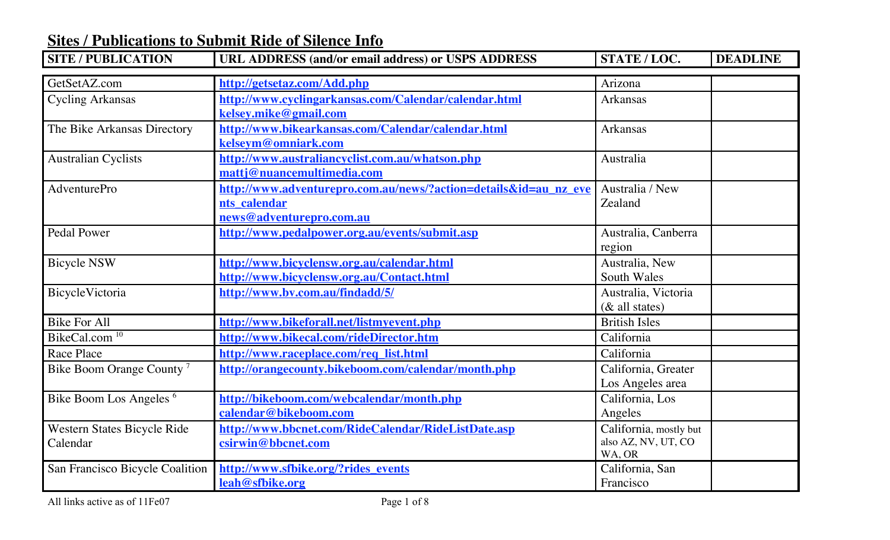| <b>SITE / PUBLICATION</b>               | URL ADDRESS (and/or email address) or USPS ADDRESS                                                           | STATE / LOC.                                            | <b>DEADLINE</b> |
|-----------------------------------------|--------------------------------------------------------------------------------------------------------------|---------------------------------------------------------|-----------------|
| GetSetAZ.com                            | http://getsetaz.com/Add.php                                                                                  | Arizona                                                 |                 |
| <b>Cycling Arkansas</b>                 | http://www.cyclingarkansas.com/Calendar/calendar.html<br>kelsey.mike@gmail.com                               | Arkansas                                                |                 |
| The Bike Arkansas Directory             | http://www.bikearkansas.com/Calendar/calendar.html<br>kelseym@omniark.com                                    | Arkansas                                                |                 |
| <b>Australian Cyclists</b>              | http://www.australiancyclist.com.au/whatson.php<br>mattj@nuancemultimedia.com                                | Australia                                               |                 |
| AdventurePro                            | http://www.adventurepro.com.au/news/?action=details&id=au nz eve<br>nts calendar<br>news@adventurepro.com.au | Australia / New<br>Zealand                              |                 |
| <b>Pedal Power</b>                      | http://www.pedalpower.org.au/events/submit.asp                                                               | Australia, Canberra<br>region                           |                 |
| <b>Bicycle NSW</b>                      | http://www.bicyclensw.org.au/calendar.html<br>http://www.bicyclensw.org.au/Contact.html                      | Australia, New<br><b>South Wales</b>                    |                 |
| BicycleVictoria                         | http://www.bv.com.au/findadd/5/                                                                              | Australia, Victoria<br>$(\&$ all states)                |                 |
| <b>Bike For All</b>                     | http://www.bikeforall.net/listmyevent.php                                                                    | <b>British Isles</b>                                    |                 |
| BikeCal.com <sup>10</sup>               | http://www.bikecal.com/rideDirector.htm                                                                      | California                                              |                 |
| Race Place                              | http://www.raceplace.com/req_list.html                                                                       | California                                              |                 |
| Bike Boom Orange County <sup>7</sup>    | http://orangecounty.bikeboom.com/calendar/month.php                                                          | California, Greater<br>Los Angeles area                 |                 |
| Bike Boom Los Angeles <sup>6</sup>      | http://bikeboom.com/webcalendar/month.php<br>calendar@bikeboom.com                                           | California, Los<br>Angeles                              |                 |
| Western States Bicycle Ride<br>Calendar | http://www.bbcnet.com/RideCalendar/RideListDate.asp<br>csirwin@bbcnet.com                                    | California, mostly but<br>also AZ, NV, UT, CO<br>WA, OR |                 |
| San Francisco Bicycle Coalition         | http://www.sfbike.org/?rides_events<br>leah@sfbike.org                                                       | California, San<br>Francisco                            |                 |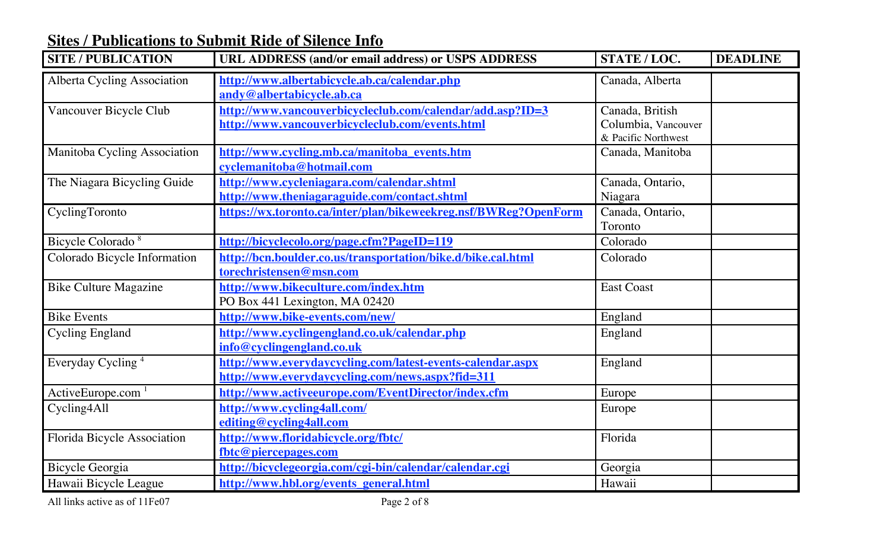| <b>SITE / PUBLICATION</b>     | <b>URL ADDRESS (and/or email address) or USPS ADDRESS</b>                                                      | STATE / LOC.                                                  | <b>DEADLINE</b> |
|-------------------------------|----------------------------------------------------------------------------------------------------------------|---------------------------------------------------------------|-----------------|
| Alberta Cycling Association   | http://www.albertabicycle.ab.ca/calendar.php<br>andy@albertabicycle.ab.ca                                      | Canada, Alberta                                               |                 |
| Vancouver Bicycle Club        | http://www.vancouverbicycleclub.com/calendar/add.asp?ID=3<br>http://www.vancouverbicycleclub.com/events.html   | Canada, British<br>Columbia, Vancouver<br>& Pacific Northwest |                 |
| Manitoba Cycling Association  | http://www.cycling.mb.ca/manitoba events.htm<br>cyclemanitoba@hotmail.com                                      | Canada, Manitoba                                              |                 |
| The Niagara Bicycling Guide   | http://www.cycleniagara.com/calendar.shtml<br>http://www.theniagaraguide.com/contact.shtml                     | Canada, Ontario,<br>Niagara                                   |                 |
| CyclingToronto                | https://wx.toronto.ca/inter/plan/bikeweekreg.nsf/BWReg?OpenForm                                                | Canada, Ontario,<br>Toronto                                   |                 |
| Bicycle Colorado <sup>8</sup> | http://bicyclecolo.org/page.cfm?PageID=119                                                                     | Colorado                                                      |                 |
| Colorado Bicycle Information  | http://bcn.boulder.co.us/transportation/bike.d/bike.cal.html<br>torechristensen@msn.com                        | Colorado                                                      |                 |
| <b>Bike Culture Magazine</b>  | http://www.bikeculture.com/index.htm<br>PO Box 441 Lexington, MA 02420                                         | <b>East Coast</b>                                             |                 |
| <b>Bike Events</b>            | http://www.bike-events.com/new/                                                                                | England                                                       |                 |
| <b>Cycling England</b>        | http://www.cyclingengland.co.uk/calendar.php<br>info@cyclingengland.co.uk                                      | England                                                       |                 |
| Everyday Cycling <sup>4</sup> | http://www.everydaycycling.com/latest-events-calendar.aspx<br>http://www.everydaycycling.com/news.aspx?fid=311 | England                                                       |                 |
| ActiveEurope.com $1$          | http://www.activeeurope.com/EventDirector/index.cfm                                                            | Europe                                                        |                 |
| Cycling4All                   | http://www.cycling4all.com/<br>editing@cycling4all.com                                                         | Europe                                                        |                 |
| Florida Bicycle Association   | http://www.floridabicycle.org/fbtc/<br>fbtc@piercepages.com                                                    | Florida                                                       |                 |
| Bicycle Georgia               | http://bicyclegeorgia.com/cgi-bin/calendar/calendar.cgi                                                        | Georgia                                                       |                 |
| Hawaii Bicycle League         | http://www.hbl.org/events general.html                                                                         | Hawaii                                                        |                 |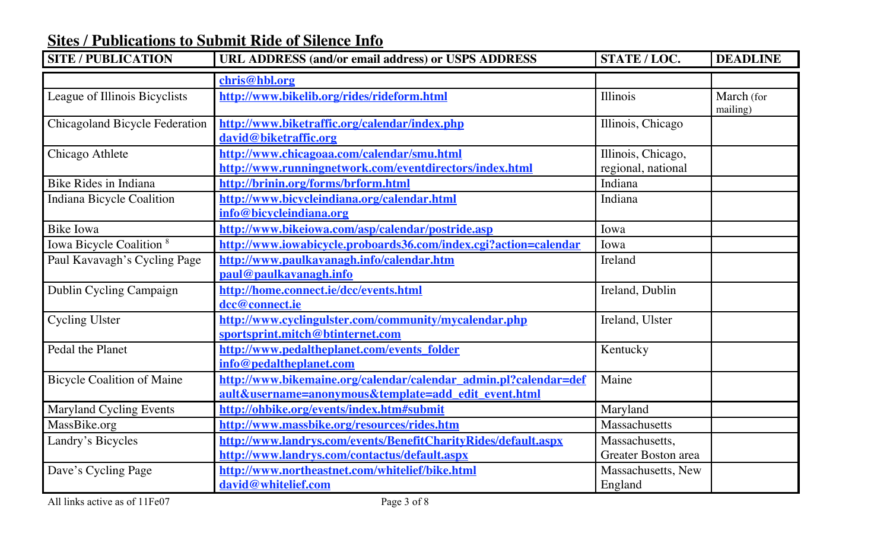| <b>SITE / PUBLICATION</b>             | URL ADDRESS (and/or email address) or USPS ADDRESS                                                                       | STATE / LOC.                             | <b>DEADLINE</b>        |
|---------------------------------------|--------------------------------------------------------------------------------------------------------------------------|------------------------------------------|------------------------|
|                                       | chris@hbl.org                                                                                                            |                                          |                        |
| League of Illinois Bicyclists         | http://www.bikelib.org/rides/rideform.html                                                                               | Illinois                                 | March (for<br>mailing) |
| <b>Chicagoland Bicycle Federation</b> | http://www.biketraffic.org/calendar/index.php<br>david@biketraffic.org                                                   | Illinois, Chicago                        |                        |
| Chicago Athlete                       | http://www.chicagoaa.com/calendar/smu.html<br>http://www.runningnetwork.com/eventdirectors/index.html                    | Illinois, Chicago,<br>regional, national |                        |
| Bike Rides in Indiana                 | http://brinin.org/forms/brform.html                                                                                      | Indiana                                  |                        |
| Indiana Bicycle Coalition             | http://www.bicycleindiana.org/calendar.html<br>info@bicycleindiana.org                                                   | Indiana                                  |                        |
| <b>Bike Iowa</b>                      | http://www.bikeiowa.com/asp/calendar/postride.asp                                                                        | Iowa                                     |                        |
| Iowa Bicycle Coalition <sup>8</sup>   | http://www.iowabicycle.proboards36.com/index.cgi?action=calendar                                                         | Iowa                                     |                        |
| Paul Kavavagh's Cycling Page          | http://www.paulkavanagh.info/calendar.htm<br>paul@paulkavanagh.info                                                      | Ireland                                  |                        |
| Dublin Cycling Campaign               | http://home.connect.ie/dcc/events.html<br>dcc@connect.ie                                                                 | Ireland, Dublin                          |                        |
| <b>Cycling Ulster</b>                 | http://www.cyclingulster.com/community/mycalendar.php<br>sportsprint.mitch@btinternet.com                                | Ireland, Ulster                          |                        |
| Pedal the Planet                      | http://www.pedaltheplanet.com/events folder<br>info@pedaltheplanet.com                                                   | Kentucky                                 |                        |
| <b>Bicycle Coalition of Maine</b>     | http://www.bikemaine.org/calendar/calendar admin.pl?calendar=def<br>ault&username=anonymous&template=add edit event.html | Maine                                    |                        |
| <b>Maryland Cycling Events</b>        | http://ohbike.org/events/index.htm#submit                                                                                | Maryland                                 |                        |
| MassBike.org                          | http://www.massbike.org/resources/rides.htm                                                                              | Massachusetts                            |                        |
| Landry's Bicycles                     | http://www.landrys.com/events/BenefitCharityRides/default.aspx<br>http://www.landrys.com/contactus/default.aspx          | Massachusetts,<br>Greater Boston area    |                        |
| Dave's Cycling Page                   | http://www.northeastnet.com/whitelief/bike.html<br>david@whitelief.com                                                   | Massachusetts, New<br>England            |                        |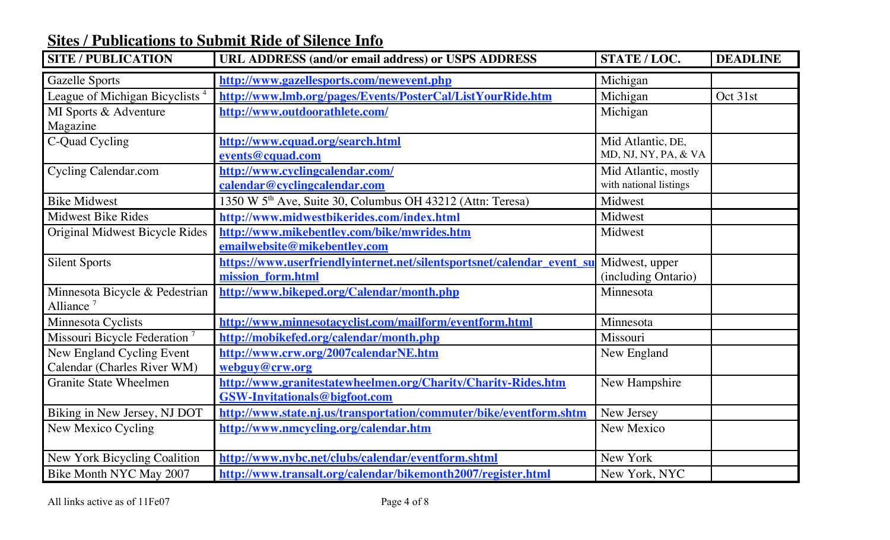| <b>SITE / PUBLICATION</b>                                | URL ADDRESS (and/or email address) or USPS ADDRESS                                                         | STATE / LOC.                                   | <b>DEADLINE</b> |
|----------------------------------------------------------|------------------------------------------------------------------------------------------------------------|------------------------------------------------|-----------------|
| <b>Gazelle Sports</b>                                    | http://www.gazellesports.com/newevent.php                                                                  | Michigan                                       |                 |
| League of Michigan Bicyclists <sup>4</sup>               | http://www.lmb.org/pages/Events/PosterCal/ListYourRide.htm                                                 | Michigan                                       | Oct 31st        |
| MI Sports & Adventure<br>Magazine                        | http://www.outdoorathlete.com/                                                                             | Michigan                                       |                 |
| C-Quad Cycling                                           | http://www.cquad.org/search.html<br>events@cquad.com                                                       | Mid Atlantic, DE,<br>MD, NJ, NY, PA, & VA      |                 |
| <b>Cycling Calendar.com</b>                              | http://www.cyclingcalendar.com/<br>calendar@cyclingcalendar.com                                            | Mid Atlantic, mostly<br>with national listings |                 |
| <b>Bike Midwest</b>                                      | 1350 W 5 <sup>th</sup> Ave, Suite 30, Columbus OH 43212 (Attn: Teresa)                                     | Midwest                                        |                 |
| <b>Midwest Bike Rides</b>                                | http://www.midwestbikerides.com/index.html                                                                 | Midwest                                        |                 |
| Original Midwest Bicycle Rides                           | http://www.mikebentley.com/bike/mwrides.htm<br>emailwebsite@mikebentley.com                                | Midwest                                        |                 |
| <b>Silent Sports</b>                                     | https://www.userfriendlyinternet.net/silentsportsnet/calendar event su Midwest, upper<br>mission form.html | (including Ontario)                            |                 |
| Minnesota Bicycle & Pedestrian<br>Alliance <sup>7</sup>  | http://www.bikeped.org/Calendar/month.php                                                                  | Minnesota                                      |                 |
| Minnesota Cyclists                                       | http://www.minnesotacyclist.com/mailform/eventform.html                                                    | Minnesota                                      |                 |
| Missouri Bicycle Federation <sup>7</sup>                 | http://mobikefed.org/calendar/month.php                                                                    | Missouri                                       |                 |
| New England Cycling Event<br>Calendar (Charles River WM) | http://www.crw.org/2007calendarNE.htm<br>webguy@crw.org                                                    | New England                                    |                 |
| <b>Granite State Wheelmen</b>                            | http://www.granitestatewheelmen.org/Charity/Charity-Rides.htm<br><b>GSW-Invitationals@bigfoot.com</b>      | New Hampshire                                  |                 |
| Biking in New Jersey, NJ DOT                             | http://www.state.nj.us/transportation/commuter/bike/eventform.shtm                                         | New Jersey                                     |                 |
| New Mexico Cycling                                       | http://www.nmcycling.org/calendar.htm                                                                      | New Mexico                                     |                 |
| New York Bicycling Coalition                             | http://www.nybc.net/clubs/calendar/eventform.shtml                                                         | New York                                       |                 |
| Bike Month NYC May 2007                                  | http://www.transalt.org/calendar/bikemonth2007/register.html                                               | New York, NYC                                  |                 |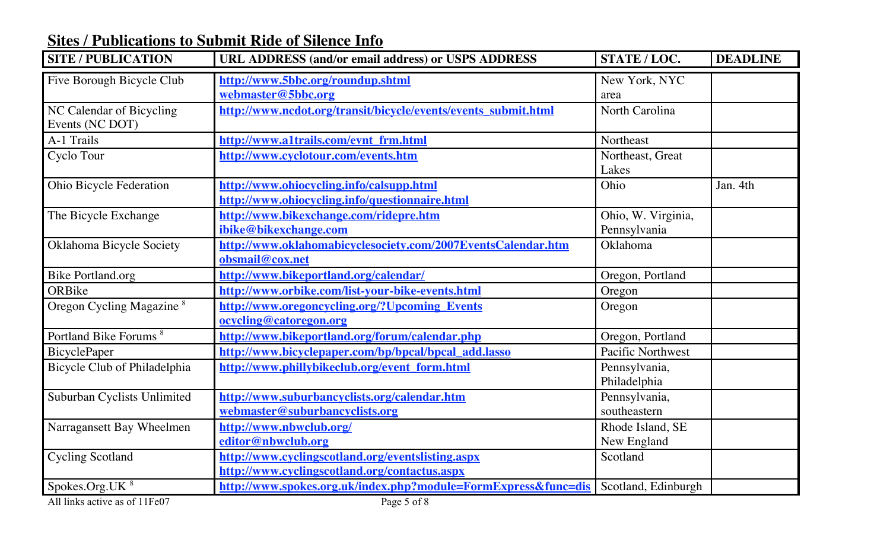| <b>SITE / PUBLICATION</b>                   | <b>URL ADDRESS (and/or email address) or USPS ADDRESS</b>                                          | STATE / LOC.                       | <b>DEADLINE</b> |
|---------------------------------------------|----------------------------------------------------------------------------------------------------|------------------------------------|-----------------|
| Five Borough Bicycle Club                   | http://www.5bbc.org/roundup.shtml<br>webmaster@5bbc.org                                            | New York, NYC<br>area              |                 |
| NC Calendar of Bicycling<br>Events (NC DOT) | http://www.ncdot.org/transit/bicycle/events/events submit.html                                     | <b>North Carolina</b>              |                 |
| A-1 Trails                                  | http://www.a1trails.com/evnt frm.html                                                              | Northeast                          |                 |
| Cyclo Tour                                  | http://www.cyclotour.com/events.htm                                                                | Northeast, Great<br>Lakes          |                 |
| Ohio Bicycle Federation                     | http://www.ohiocycling.info/calsupp.html<br>http://www.ohiocycling.info/questionnaire.html         | Ohio                               | Jan. 4th        |
| The Bicycle Exchange                        | http://www.bikexchange.com/ridepre.htm<br>ibike@bikexchange.com                                    | Ohio, W. Virginia,<br>Pennsylvania |                 |
| Oklahoma Bicycle Society                    | http://www.oklahomabicyclesociety.com/2007EventsCalendar.htm<br>obsmail@cox.net                    | Oklahoma                           |                 |
| <b>Bike Portland.org</b>                    | http://www.bikeportland.org/calendar/                                                              | Oregon, Portland                   |                 |
| ORBike                                      | http://www.orbike.com/list-your-bike-events.html                                                   | Oregon                             |                 |
| Oregon Cycling Magazine <sup>8</sup>        | http://www.oregoncycling.org/?Upcoming Events<br>ocycling@catoregon.org                            | Oregon                             |                 |
| Portland Bike Forums <sup>8</sup>           | http://www.bikeportland.org/forum/calendar.php                                                     | Oregon, Portland                   |                 |
| BicyclePaper                                | http://www.bicyclepaper.com/bp/bpcal/bpcal_add.lasso                                               | <b>Pacific Northwest</b>           |                 |
| Bicycle Club of Philadelphia                | http://www.phillybikeclub.org/event form.html                                                      | Pennsylvania,<br>Philadelphia      |                 |
| Suburban Cyclists Unlimited                 | http://www.suburbancyclists.org/calendar.htm<br>webmaster@suburbancyclists.org                     | Pennsylvania,<br>southeastern      |                 |
| Narragansett Bay Wheelmen                   | http://www.nbwclub.org/<br>editor@nbwclub.org                                                      | Rhode Island, SE<br>New England    |                 |
| <b>Cycling Scotland</b>                     | http://www.cyclingscotland.org/eventslisting.aspx<br>http://www.cyclingscotland.org/contactus.aspx | Scotland                           |                 |
| Spokes.Org.UK <sup>8</sup>                  | http://www.spokes.org.uk/index.php?module=FormExpress&func=dis                                     | Scotland, Edinburgh                |                 |

All links active as of 11Fe07 Page 5 of 8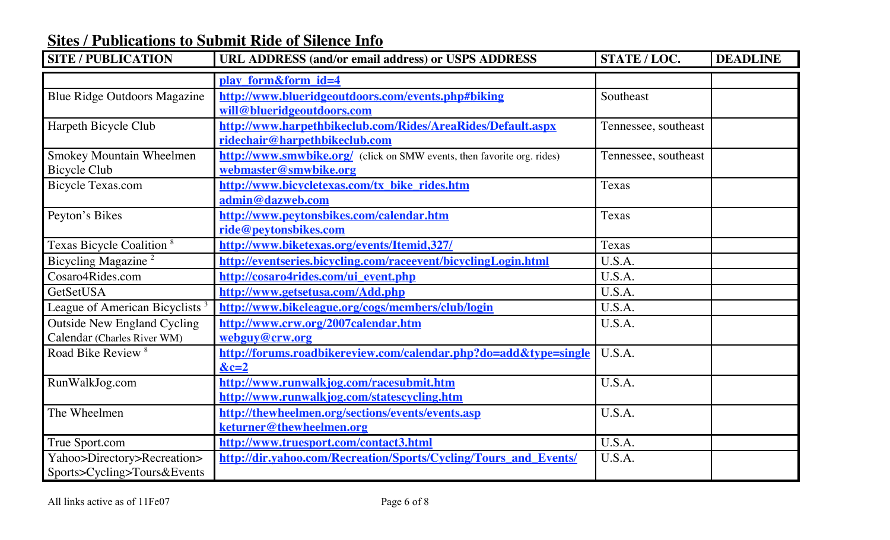| <b>SITE / PUBLICATION</b>                  | URL ADDRESS (and/or email address) or USPS ADDRESS                      | STATE / LOC.         | <b>DEADLINE</b> |
|--------------------------------------------|-------------------------------------------------------------------------|----------------------|-----------------|
|                                            | play form&form id=4                                                     |                      |                 |
| <b>Blue Ridge Outdoors Magazine</b>        | http://www.blueridgeoutdoors.com/events.php#biking                      | Southeast            |                 |
|                                            | will@blueridgeoutdoors.com                                              |                      |                 |
| Harpeth Bicycle Club                       | http://www.harpethbikeclub.com/Rides/AreaRides/Default.aspx             | Tennessee, southeast |                 |
|                                            | ridechair@harpethbikeclub.com                                           |                      |                 |
| Smokey Mountain Wheelmen                   | http://www.smwbike.org/ (click on SMW events, then favorite org. rides) | Tennessee, southeast |                 |
| <b>Bicycle Club</b>                        | webmaster@smwbike.org                                                   |                      |                 |
| <b>Bicycle Texas.com</b>                   | http://www.bicycletexas.com/tx bike rides.htm                           | Texas                |                 |
|                                            | admin@dazweb.com                                                        |                      |                 |
| Peyton's Bikes                             | http://www.peytonsbikes.com/calendar.htm                                | Texas                |                 |
|                                            | ride@peytonsbikes.com                                                   |                      |                 |
| Texas Bicycle Coalition <sup>8</sup>       | http://www.biketexas.org/events/Itemid,327/                             | Texas                |                 |
| Bicycling Magazine <sup>2</sup>            | http://eventseries.bicycling.com/raceevent/bicyclingLogin.html          | U.S.A.               |                 |
| Cosaro4Rides.com                           | http://cosaro4rides.com/ui event.php                                    | U.S.A.               |                 |
| GetSetUSA                                  | http://www.getsetusa.com/Add.php                                        | U.S.A.               |                 |
| League of American Bicyclists <sup>3</sup> | http://www.bikeleague.org/cogs/members/club/login                       | U.S.A.               |                 |
| <b>Outside New England Cycling</b>         | http://www.crw.org/2007calendar.htm                                     | U.S.A.               |                 |
| Calendar (Charles River WM)                | webguy@crw.org                                                          |                      |                 |
| Road Bike Review <sup>8</sup>              | http://forums.roadbikereview.com/calendar.php?do=add&type=single        | U.S.A.               |                 |
|                                            | $&c=2$                                                                  |                      |                 |
| RunWalkJog.com                             | http://www.runwalkjog.com/racesubmit.htm                                | U.S.A.               |                 |
|                                            | http://www.runwalkjog.com/statescycling.htm                             |                      |                 |
| The Wheelmen                               | http://thewheelmen.org/sections/events/events.asp                       | U.S.A.               |                 |
|                                            | keturner@thewheelmen.org                                                |                      |                 |
| True Sport.com                             | http://www.truesport.com/contact3.html                                  | U.S.A.               |                 |
| Yahoo>Directory>Recreation>                | http://dir.yahoo.com/Recreation/Sports/Cycling/Tours and Events/        | U.S.A.               |                 |
| Sports>Cycling>Tours&Events                |                                                                         |                      |                 |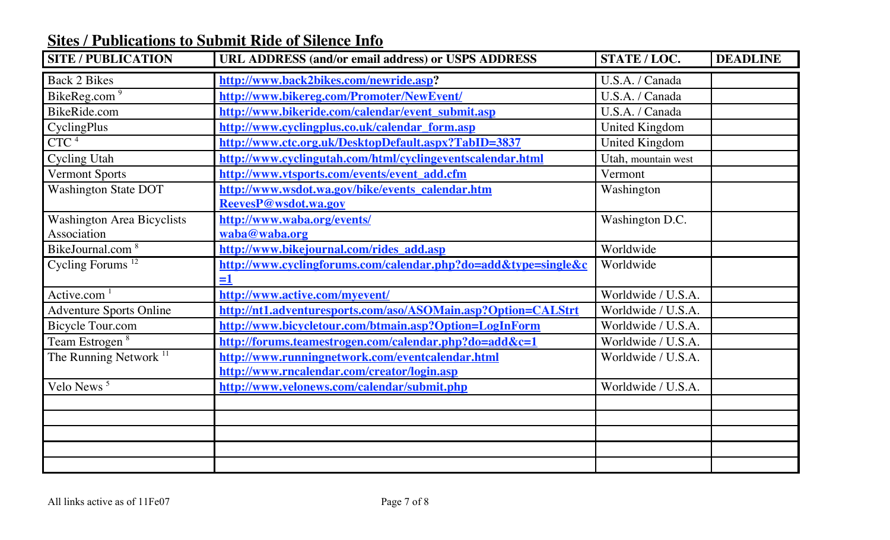| <b>SITE / PUBLICATION</b>                        | URL ADDRESS (and/or email address) or USPS ADDRESS                                              | STATE / LOC.        | <b>DEADLINE</b> |
|--------------------------------------------------|-------------------------------------------------------------------------------------------------|---------------------|-----------------|
| <b>Back 2 Bikes</b>                              | http://www.back2bikes.com/newride.asp?                                                          | U.S.A. / Canada     |                 |
| BikeReg.com $\sqrt{9}$                           | http://www.bikereg.com/Promoter/NewEvent/                                                       | U.S.A. / Canada     |                 |
| BikeRide.com                                     | http://www.bikeride.com/calendar/event submit.asp                                               | U.S.A. / Canada     |                 |
| CyclingPlus                                      | http://www.cyclingplus.co.uk/calendar form.asp                                                  | United Kingdom      |                 |
| CTC <sup>4</sup>                                 | http://www.ctc.org.uk/DesktopDefault.aspx?TabID=3837                                            | United Kingdom      |                 |
| <b>Cycling Utah</b>                              | http://www.cyclingutah.com/html/cyclingeventscalendar.html                                      | Utah, mountain west |                 |
| <b>Vermont Sports</b>                            | http://www.vtsports.com/events/event_add.cfm                                                    | Vermont             |                 |
| <b>Washington State DOT</b>                      | http://www.wsdot.wa.gov/bike/events calendar.htm<br>ReevesP@wsdot.wa.gov                        | Washington          |                 |
| <b>Washington Area Bicyclists</b><br>Association | http://www.waba.org/events/<br>waba@waba.org                                                    | Washington D.C.     |                 |
| BikeJournal.com $\sqrt[8]{\ }$                   | http://www.bikejournal.com/rides add.asp                                                        | Worldwide           |                 |
| Cycling Forums <sup>12</sup>                     | http://www.cyclingforums.com/calendar.php?do=add&type=single&c<br>$\equiv$ 1                    | Worldwide           |                 |
| Active.com <sup>1</sup>                          | http://www.active.com/myevent/                                                                  | Worldwide / U.S.A.  |                 |
| <b>Adventure Sports Online</b>                   | http://nt1.adventuresports.com/aso/ASOMain.asp?Option=CALStrt                                   | Worldwide / U.S.A.  |                 |
| <b>Bicycle Tour.com</b>                          | http://www.bicycletour.com/btmain.asp?Option=LogInForm                                          | Worldwide / U.S.A.  |                 |
| Team Estrogen <sup>8</sup>                       | http://forums.teamestrogen.com/calendar.php?do=add&c=1                                          | Worldwide / U.S.A.  |                 |
| The Running Network $11$                         | http://www.runningnetwork.com/eventcalendar.html<br>http://www.rncalendar.com/creator/login.asp | Worldwide / U.S.A.  |                 |
| Velo News <sup>5</sup>                           | http://www.velonews.com/calendar/submit.php                                                     | Worldwide / U.S.A.  |                 |
|                                                  |                                                                                                 |                     |                 |
|                                                  |                                                                                                 |                     |                 |
|                                                  |                                                                                                 |                     |                 |
|                                                  |                                                                                                 |                     |                 |
|                                                  |                                                                                                 |                     |                 |